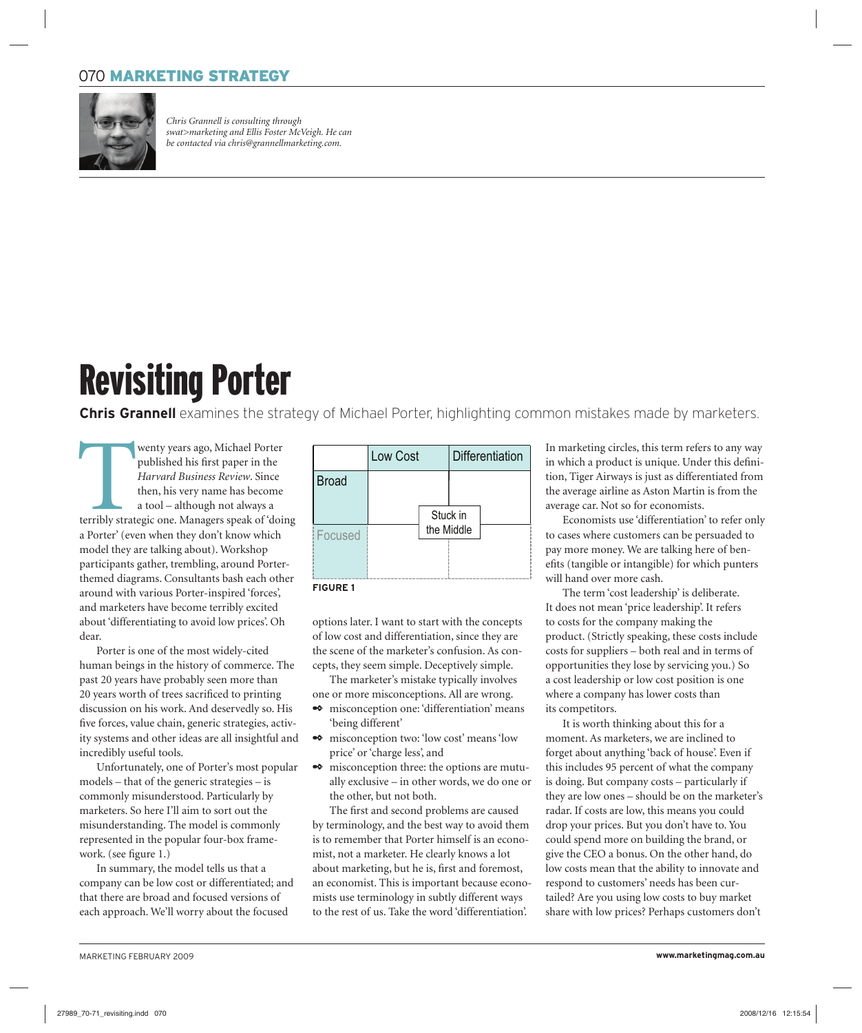## 070 MARKETING STRATEGY



*Chris Grannell is consulting through swat>marketing and Ellis Foster McVeigh. He can be contacted via chris@grannellmarketing.com.*

## Revisiting Porter

**Chris Grannell** examines the strategy of Michael Porter, highlighting common mistakes made by marketers.

Wenty years ago, Michael Porter<br>
published his first paper in the<br> *Harvard Business Review*. Since<br>
then, his very name has become<br>
a tool – although not always a<br>
terribly strategic one. Managers speak of 'doing<br>
dividen published his first paper in the *Harvard Business Review*. Since then, his very name has become a tool – although not always a a Porter' (even when they don't know which model they are talking about). Workshop participants gather, trembling, around Porterthemed diagrams. Consultants bash each other around with various Porter-inspired 'forces', and marketers have become terribly excited about 'differentiating to avoid low prices'. Oh dear.

Porter is one of the most widely-cited human beings in the history of commerce. The past 20 years have probably seen more than 20 years worth of trees sacrificed to printing discussion on his work. And deservedly so. His five forces, value chain, generic strategies, activity systems and other ideas are all insightful and incredibly useful tools.

Unfortunately, one of Porter's most popular models – that of the generic strategies – is commonly misunderstood. Particularly by marketers. So here I'll aim to sort out the misunderstanding. The model is commonly represented in the popular four-box framework. (see figure 1.)

In summary, the model tells us that a company can be low cost or differentiated; and that there are broad and focused versions of each approach. We'll worry about the focused



options later. I want to start with the concepts of low cost and differentiation, since they are the scene of the marketer's confusion. As concepts, they seem simple. Deceptively simple.

The marketer's mistake typically involves one or more misconceptions. All are wrong.

- misconception one: 'differentiation' means 'being different'
- misconception two: 'low cost' means 'low price' or 'charge less', and
- misconception three: the options are mutually exclusive – in other words, we do one or the other, but not both.

The first and second problems are caused by terminology, and the best way to avoid them is to remember that Porter himself is an economist, not a marketer. He clearly knows a lot about marketing, but he is, first and foremost, an economist. This is important because economists use terminology in subtly different ways to the rest of us. Take the word 'differentiation'.

In marketing circles, this term refers to any way in which a product is unique. Under this definition, Tiger Airways is just as differentiated from the average airline as Aston Martin is from the average car. Not so for economists.

Economists use 'differentiation' to refer only to cases where customers can be persuaded to pay more money. We are talking here of benefits (tangible or intangible) for which punters will hand over more cash.

The term 'cost leadership' is deliberate. It does not mean 'price leadership'. It refers to costs for the company making the product. (Strictly speaking, these costs include costs for suppliers – both real and in terms of opportunities they lose by servicing you.) So a cost leadership or low cost position is one where a company has lower costs than its competitors.

It is worth thinking about this for a moment. As marketers, we are inclined to forget about anything 'back of house'. Even if this includes 95 percent of what the company is doing. But company costs – particularly if they are low ones – should be on the marketer's radar. If costs are low, this means you could drop your prices. But you don't have to. You could spend more on building the brand, or give the CEO a bonus. On the other hand, do low costs mean that the ability to innovate and respond to customers' needs has been curtailed? Are you using low costs to buy market share with low prices? Perhaps customers don't